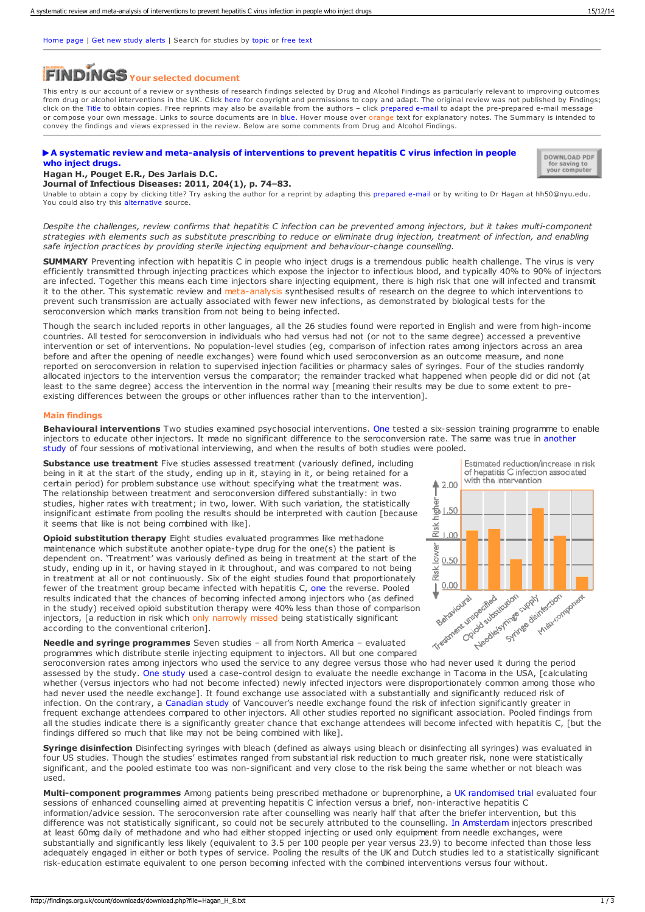[Home](https://findings.org.uk/index.php) page | Get new study [alerts](https://findings.org.uk/index.php#signUp) | Search for studies by [topic](https://findings.org.uk/topic_search.htm) or [free](https://findings.org.uk/free_search.htm) text

# **Your selected document**

This entry is our account of a review or synthesis of research findings selected by Drug and Alcohol Findings as particularly relevant to improving outcomes from drug or alcohol interventions in the UK. Click [here](https://findings.org.uk/types.htm#copyright) for copyright and permissions to copy and adapt. The original review was not published by Findings; click on the Title to obtain copies. Free reprints may also be available from the authors – click prepared e-mail to adapt the pre-prepared e-mail message or compose your own message. Links to source documents are in blue. Hover mouse over orange text for explanatory notes. The Summary is intended to convey the findings and views expressed in the review. Below are some comments from Drug and Alcohol Findings.

## A systematic review and [meta-analysis](http://dx.doi.org/10.1093/infdis/jir196) of interventions to prevent hepatitis C virus infection in people<br>who inject drugs.



### **Hagan H., Pouget E.R., Des Jarlais D.C.**

#### **Journal of Infectious Diseases: 2011, 204(1), p. 74–83.**

Unable to obtain a copy by clicking title? Try asking the author for a reprint by adapting this [prepared](mailto:hh50@nyu.edu?Subject=Reprint request&body=Dear Dr Hagan%0A%0AOn the Drug and Alcohol Findings web site (https://findings.org.uk) I read about your article:%0AHagan H., Pouget E.R., Des Jarlais D.C. A systematic review and meta-analysis of interventions to prevent hepatitis C virus infection in people who inject drugs. Journal of Infectious Diseases: 2011, 204(1), p. 74-83.%0A%0AWould it be possible to for me to be sent a PDF reprint or the manuscript by replying to this e-mail?%0A) e-mail or by writing to Dr Hagan at hh50@nyu.edu. You could also try this [alternative](http://natap.org/2011/HCV/Hagan-74-83.pdf) source.

Despite the challenges, review confirms that hepatitis C infection can be prevented among injectors, but it takes multi-component strategies with elements such as substitute prescribing to reduce or eliminate drug injection, treatment of infection, and enabling *safe injection practices by providing sterile injecting equipment and behaviour-change counselling.*

**SUMMARY** Preventing infection with hepatitis C in people who inject drugs is a tremendous public health challenge. The virus is very efficiently transmitted through injecting practices which expose the injector to infectious blood, and typically 40% to 90% of injectors are infected. Together this means each time injectors share injecting equipment, there is high risk that one will infected and transmit it to the other. This systematic review and meta-analysis synthesised results of research on the degree to which interventions to prevent such transmission are actually associated with fewer new infections, as demonstrated by biological tests for the seroconversion which marks transition from not being to being infected.

Though the search included reports in other languages, all the 26 studies found were reported in English and were from high-income countries. All tested for seroconversion in individuals who had versus had not (or not to the same degree) accessed a preventive intervention or set of interventions. No population-level studies (eg, comparison of infection rates among injectors across an area before and after the opening of needle exchanges) were found which used seroconversion as an outcome measure, and none reported on seroconversion in relation to supervised injection facilities or pharmacy sales of syringes. Four of the studies randomly allocated injectors to the intervention versus the comparator; the remainder tracked what happened when people did or did not (at least to the same degree) access the intervention in the normal way [meaning their results may be due to some extent to preexisting differences between the groups or other influences rather than to the intervention].

#### **Main findings**

**Behavioural interventions** Two studies examined psychosocial interventions. [One](http://duit.ucsd.edu/Garfein_DUIT_Outcomes.pdf) tested a six-session training programme to enable injectors to educate other injectors. It made no significant difference to the [seroconversion](http://dx.doi.org/10.1080/10550880903183034) rate. The same was true in another study of four sessions of motivational interviewing, and when the results of both studies were pooled.

**Substance use treatment** Five studies assessed treatment (variously defined, including being in it at the start of the study, ending up in it, staying in it, or being retained for a certain period) for problem substance use without specifying what the treatment was. The relationship between treatment and seroconversion differed substantially: in two studies, higher rates with treatment; in two, lower. With such variation, the statistically insignificant estimate from pooling the results should be interpreted with caution [because it seems that like is not being combined with like].



Estimated reduction/increase in risk of hepatitis C infection associated with the intervention  $42.00$ 흫 1.50 Pisk  $.00$ lower  $0.50$ Risk<sup>1</sup>  $0.00$ Corporation Stringer Syrings Supply Anticom Mariconmonark

**Needle and syringe programmes** Seven studies – all from North America – evaluated programmes which distribute sterile injecting equipment to injectors. All but one compared

assessed by the study. One [study](http://dx.doi.org/10.2105/AJPH.85.11.1531) used a case-control design to evaluate the needle exchange in Tacoma in the USA, [calculating whether (versus injectors who had not become infected) newly infected injectors were disproportionately common among those who had never used the needle exchange]. It found exchange use associated with a substantially and significantly reduced risk of infection. On the contrary, a [Canadian](http://www.ncbi.nlm.nih.gov/pmc/articles/PMC81496/) study of Vancouver's needle exchange found the risk of infection significantly greater in frequent exchange attendees compared to other injectors. All other studies reported no significant association. Pooled findings from all the studies indicate there is a significantly greater chance that exchange attendees will become infected with hepatitis C, [but the findings differed so much that like may not be being combined with like].

**Syringe disinfection** Disinfecting syringes with bleach (defined as always using bleach or disinfecting all syringes) was evaluated in four US studies. Though the studies' estimates ranged from substantial risk reduction to much greater risk, none were statistically significant, and the pooled estimate too was non-significant and very close to the risk being the same whether or not bleach was used.

**Multi-component programmes** Among patients being prescribed methadone or buprenorphine, a UK [randomised](http://dx.doi.org/10.1186/1477-7517-5-25) trial evaluated four sessions of enhanced counselling aimed at preventing hepatitis C infection versus a brief, non-interactive hepatitis C information/advice session. The seroconversion rate after counselling was nearly half that after the briefer intervention, but this difference was not statistically significant, so could not be securely attributed to the counselling. In [Amsterdam](http://dx.doi.org/10.1111/j.1360-0443.2007.01912.x) injectors prescribed at least 60mg daily of methadone and who had either stopped injecting or used only equipment from needle exchanges, were substantially and significantly less likely (equivalent to 3.5 per 100 people per year versus 23.9) to become infected than those less adequately engaged in either or both types of service. Pooling the results of the UK and Dutch studies led to a statistically significant risk-education estimate equivalent to one person becoming infected with the combined interventions versus four without.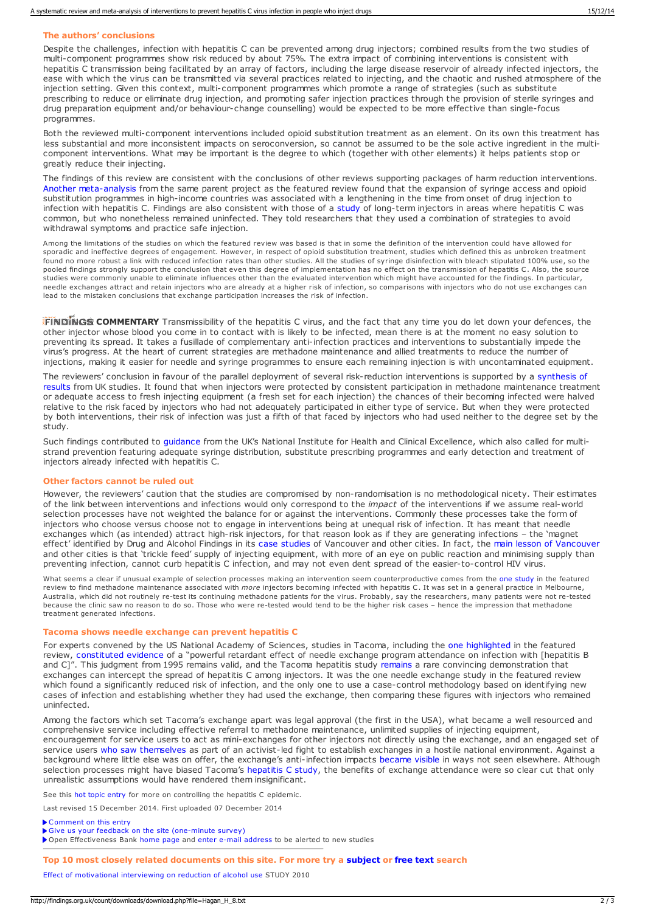#### **The authors' conclusions**

Despite the challenges, infection with hepatitis C can be prevented among drug injectors; combined results from the two studies of multi-component programmes show risk reduced by about 75%. The extra impact of combining in hepatitis C transmission being facilitated by an array of factors, including the large disease reservoir of already infected injectors, the ease with which the virus can be transmitted via several practices related to injecting, and the chaotic and rushed atmosphere of the injection setting. Given this context, multi-component programmes which promote a range of strategies (such as substitute prescribing to reduce or eliminate drug injection, and promoting safer injection practices through the provision of sterile syringes and drug preparation equipment and/or behaviour-change counselling) would be expected to be more effective than single-focus programmes.

Both the reviewed multi-component interventions included opioid substitution treatment as an element. On its own this treatment has less substantial and more inconsistent impacts on seroconversion, so cannot be assumed to be the sole active ingredient in the multicomponent interventions. What may be important is the degree to which (together with other elements) it helps patients stop or greatly reduce their injecting.

The findings of this review are consistent with the conclusions of other reviews supporting packages of harm reduction interventions. Another [meta-analysis](http://dx.doi.org/10.1093/aje/kwn237) from the same parent project as the featured review found that the expansion of syringe access and opioid substitution programmes in high-income countries was associated with a lengthening in the time from onset of drug injection to infection with hepatitis C. Findings are also consistent with those of a [study](http://dx.doi.org/10.1016/j.drugpo.2007.06.001) of long-term injectors in areas where hepatitis C was common, but who nonetheless remained uninfected. They told researchers that they used a combination of strategies to avoid withdrawal symptoms and practice safe injection.

Among the limitations of the studies on which the featured review was based is that in some the definition of the intervention could have allowed for sporadic and ineffective degrees of engagement. However, in respect of opioid substitution treatment, studies which defined this as unbroken treatment found no more robust a link with reduced infection rates than other studies. All the studies of syringe disinfection with bleach stipulated 100% use, so the pooled findings strongly support the conclusion that even this degree of implementation has no effect on the transmission of hepatitis C. Also, the source studies were commonly unable to eliminate influences other than the evaluated intervention which might have accounted for the findings. In particular, needle exchanges attract and retain injectors who are already at a higher risk of infection, so comparisons with injectors who do not use exchanges can lead to the mistaken conclusions that exchange participation increases the risk of infection.

**FINDINGS COMMENTARY** Transmissibility of the hepatitis C virus, and the fact that any time you do let down your defences, the other injector whose blood you come in to contact with is likely to be infected, mean there is at the moment no easy solution to preventing its spread. It takes a fusillade of complementary anti-infection practices and interventions to substantially impede the virus's progress. At the heart of current strategies are methadone maintenance and allied treatments to reduce the number of injections, making it easier for needle and syringe programmes to ensure each remaining injection is with uncontaminated equipment.

The reviewers' conclusion in favour of the parallel deployment of several [risk-reduction](https://findings.org.uk/PHP/dl.php?file=Turner_K_1.txt) interventions is supported by a synthesis of results from UK studies. It found that when injectors were protected by consistent participation in methadone maintenance treatment or adequate access to fresh injecting equipment (a fresh set for each injection) the chances of their becoming infected were halved relative to the risk faced by injectors who had not adequately participated in either type of service. But when they were protected by both interventions, their risk of infection was just a fifth of that faced by injectors who had used neither to the degree set by the study.

Such findings contributed to [guidance](https://findings.org.uk/PHP/dl.php?file=NICE_8.txt) from the UK's National Institute for Health and Clinical Excellence, which also called for multistrand prevention featuring adequate syringe distribution, substitute prescribing programmes and early detection and treatment of injectors already infected with hepatitis C.

#### **Other factors cannot be ruled out**

However, the reviewers' caution that the studies are compromised by non-randomisation is no methodological nicety. Their estimates of the link between interventions and infections would only correspond to the *impact* of the interventions if we assume real-world selection processes have not weighted the balance for or against the interventions. Commonly these processes take the form of injectors who choose versus choose not to engage in interventions being at unequal risk of infection. It has meant that needle exchanges which (as intended) attract high-risk injectors, for that reason look as if they are generating infections – the 'magnet effect' identified by Drug and Alcohol Findings in its case [studies](https://findings.org.uk/PHP/dl.php?file=Ashton_M_16.pdf) of Vancouver and other cities. In fact, the main lesson of [Vancouver](https://findings.org.uk/PHP/dl.php?file=Hyshka_E_1.txt) and other cities is that 'trickle feed' supply of injecting equipment, with more of an eye on public reaction and minimising supply than preventing infection, cannot curb hepatitis C infection, and may not even dent spread of the easier-to-control HIV virus.

What seems a clear if unusual example of selection processes making an intervention seem counterproductive comes from the one [study](http://www.lilacatania.it/wp-content/uploads/2012/08/Methadone-maintenance-and-hepatitis-C-virus.pdf) in the featured review to find methadone maintenance associated with *more* injectors becoming infected with hepatitis C. It was set in a general practice in Melbourne, Australia, which did not routinely re-test its continuing methadone patients for the virus. Probably, say the researchers, many patients were not re-tested because the clinic saw no reason to do so. Those who were re-tested would tend to be the higher risk cases – hence the impression that methadone treatment generated infections.

#### **Tacoma shows needle exchange can prevent hepatitis C**

For experts convened by the US National Academy of Sciences, studies in Tacoma, including the one [highlighted](http://dx.doi.org/10.2105/AJPH.85.11.1531) in the featured review, [constituted](http://www.nap.edu/catalog/4975.html) evidence of a "powerful retardant effect of needle exchange program attendance on infection with [hepatitis B and C]". This judgment from 1995 [remains](https://findings.org.uk/PHP/dl.php?file=Ashton_M_16.pdf) valid, and the Tacoma hepatitis study remains a rare convincing demonstration that exchanges can intercept the spread of hepatitis C among injectors. It was the one needle exchange study in the featured review which found a significantly reduced risk of infection, and the only one to use a case-control methodology based on identifying new cases of infection and establishing whether they had used the exchange, then comparing these figures with injectors who remained uninfected.

Among the factors which set Tacoma's exchange apart was legal approval (the first in the USA), what became a well resourced and comprehensive service including effective referral to methadone maintenance, unlimited supplies of injecting equipment, encouragement for service users to act as mini-exchanges for other injectors not directly using the exchange, and an engaged set of service users who saw [themselves](http://dx.doi.org/10.1037/10491-005) as part of an activist-led fight to establish exchanges in a hostile national environment. Against a background where little else was on offer, the exchange's anti-infection impacts [became](https://findings.org.uk/PHP/dl.php?file=Ashton_M_16.pdf) visible in ways not seen elsewhere. Although selection processes might have biased Tacoma's [hepatitis](http://dx.doi.org/10.2105/AJPH.85.11.1531) C study, the benefits of exchange attendance were so clear cut that only unrealistic assumptions would have rendered them insignificant.

See this hot topic [entry](https://findings.org.uk/PHP/dl.php?file=hep_C.hot) for more on controlling the hepatitis C epidemic.

Last revised 15 December 2014. First uploaded 07 December 2014

[Comment](mailto:editor@findings.org.uk?Subject=Findings entry: A systematic review and meta-analysis of interventions to prevent hepatitis C virus infection in people who inject drugs) on this entry

Give us your feedback on the site [\(one-minute](https://www.surveymonkey.com/s/EB_2012) survey)

▶ Open Effectiveness Bank [home](https://findings.org.uk/index.php) page and enter e-mail [address](https://findings.org.uk/index.php#signUp) to be alerted to new studies

**Top 10 most closely related documents on this site. For more try a [subject](https://findings.org.uk/topic_search.htm) or free [text](https://findings.org.uk/free_search.htm) search**

Effect of [motivational](https://findings.org.uk/count/downloads/download.php?file=Nyamathi_A_3.txt) interviewing on reduction of alcohol use STUDY 2010